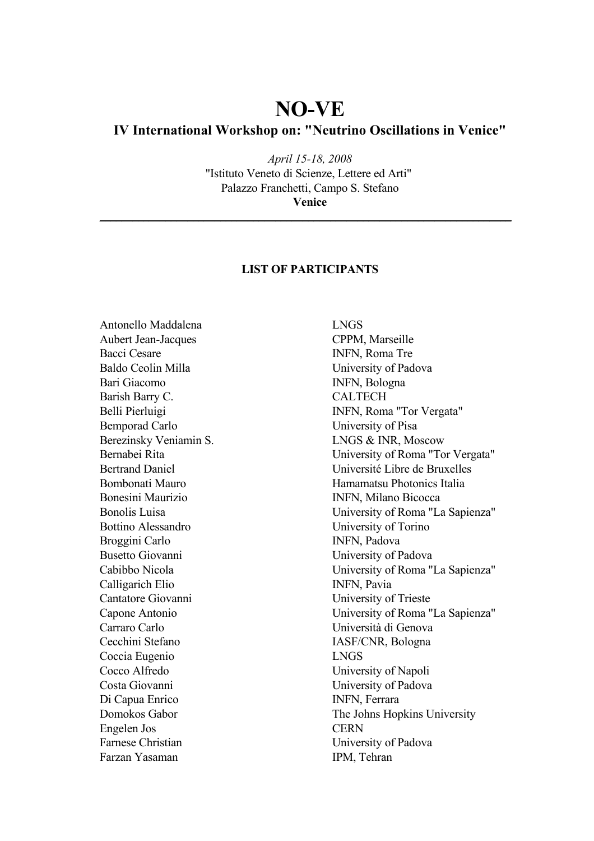## **NO-VE**

## **IV International Workshop on: "Neutrino Oscillations in Venice"**

*April 15-18, 2008* "Istituto Veneto di Scienze, Lettere ed Arti" Palazzo Franchetti, Campo S. Stefano **Venice**

\_\_\_\_\_\_\_\_\_\_\_\_\_\_\_\_\_\_\_\_\_\_\_\_\_\_\_\_\_\_\_\_\_\_\_\_\_\_\_\_\_\_\_\_\_\_\_\_\_\_\_\_\_\_\_\_\_\_\_\_\_\_\_\_\_\_\_\_\_\_\_\_\_\_\_

## **LIST OF PARTICIPANTS**

Antonello Maddalena LNGS Aubert Jean-Jacques CPPM, Marseille Bacci Cesare INFN, Roma Tre Baldo Ceolin Milla University of Padova Bari Giacomo INFN, Bologna Barish Barry C. CALTECH Bemporad Carlo University of Pisa Berezinsky Veniamin S. LNGS & INR, Moscow Bonesini Maurizio INFN, Milano Bicocca Bottino Alessandro University of Torino Broggini Carlo INFN, Padova Busetto Giovanni University of Padova Calligarich Elio INFN, Pavia Cantatore Giovanni University of Trieste Carraro Carlo Università di Genova Cecchini Stefano IASF/CNR, Bologna Coccia Eugenio LNGS Cocco Alfredo University of Napoli Costa Giovanni University of Padova Di Capua Enrico INFN, Ferrara Engelen Jos CERN Farnese Christian University of Padova Farzan Yasaman IPM, Tehran

Belli Pierluigi INFN, Roma "Tor Vergata" Bernabei Rita University of Roma "Tor Vergata" Bertrand Daniel Université Libre de Bruxelles Bombonati Mauro Hamamatsu Photonics Italia Bonolis Luisa University of Roma "La Sapienza" Cabibbo Nicola University of Roma "La Sapienza" Capone Antonio University of Roma "La Sapienza" Domokos Gabor The Johns Hopkins University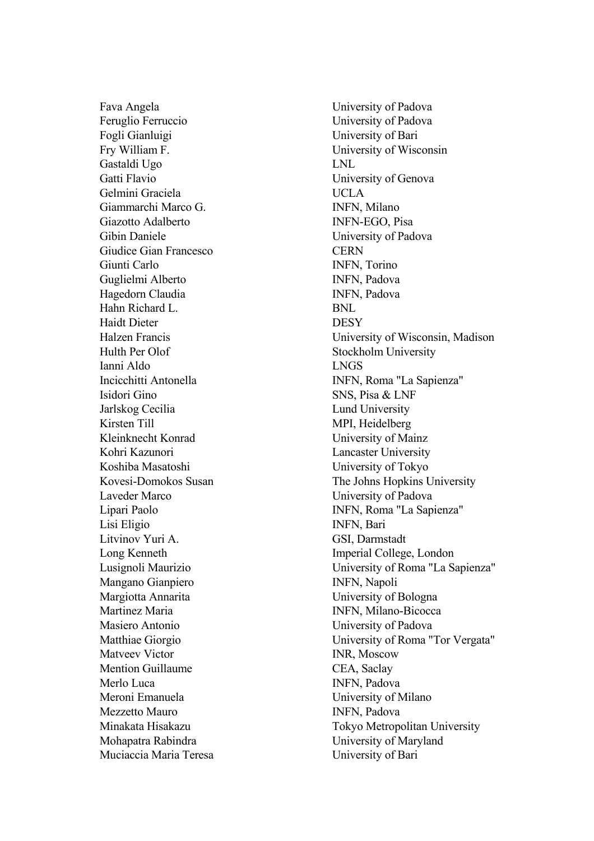Feruglio Ferruccio University of Padova Fogli Gianluigi University of Bari Fry William F. University of Wisconsin Gastaldi Ugo LNL Gatti Flavio University of Genova Gelmini Graciela UCLA Giammarchi Marco G. INFN, Milano Giazotto Adalberto INFN-EGO, Pisa Gibin Daniele University of Padova Giudice Gian Francesco CERN Giunti Carlo INFN, Torino Guglielmi Alberto **INFN**, Padova Hagedorn Claudia INFN, Padova Hahn Richard L. BNL Haidt Dieter DESY Hulth Per Olof Stockholm University Ianni Aldo LNGS Isidori Gino SNS, Pisa & LNF Jarlskog Cecilia Lund University Kirsten Till MPI, Heidelberg Kleinknecht Konrad University of Mainz Kohri Kazunori Lancaster University Koshiba Masatoshi University of Tokyo Laveder Marco University of Padova Lisi Eligio INFN, Bari Litvinov Yuri A. GSI, Darmstadt Long Kenneth Imperial College, London Mangano Gianpiero INFN, Napoli Margiotta Annarita University of Bologna Martinez Maria **INFN, Milano-Bicocca** Masiero Antonio University of Padova Matveev Victor **INR**, Moscow Mention Guillaume CEA, Saclay Merlo Luca **INFN**, Padova Meroni Emanuela University of Milano Mezzetto Mauro **INFN**, Padova Mohapatra Rabindra University of Maryland Muciaccia Maria Teresa University of Bari

Fava Angela University of Padova Halzen Francis University of Wisconsin, Madison Incicchitti Antonella INFN, Roma "La Sapienza" Kovesi-Domokos Susan The Johns Hopkins University Lipari Paolo INFN, Roma "La Sapienza" Lusignoli Maurizio University of Roma "La Sapienza" Matthiae Giorgio University of Roma "Tor Vergata" Minakata Hisakazu Tokyo Metropolitan University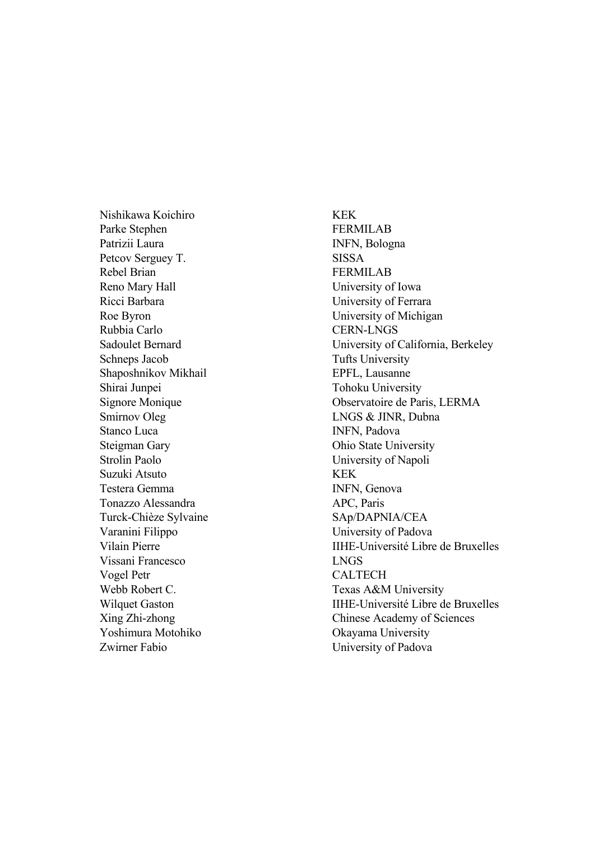Nishikawa Koichiro KEK Parke Stephen FERMILAB Patrizii Laura INFN, Bologna Petcov Serguey T. SISSA Rebel Brian FERMILAB Reno Mary Hall University of Iowa Ricci Barbara University of Ferrara Roe Byron University of Michigan Rubbia Carlo CERN-LNGS Schneps Jacob Tufts University Shaposhnikov Mikhail EPFL, Lausanne Shirai Junpei Tohoku University Smirnov Oleg LNGS & JINR, Dubna Stanco Luca INFN, Padova Steigman Gary Ohio State University Strolin Paolo **University of Napoli** Suzuki Atsuto KEK Testera Gemma **INFN**, Genova Tonazzo Alessandra APC, Paris Turck-Chièze Sylvaine SAp/DAPNIA/CEA Varanini Filippo University of Padova Vissani Francesco LNGS Vogel Petr CALTECH Webb Robert C. Texas A&M University Yoshimura Motohiko Okayama University Zwirner Fabio University of Padova

Sadoulet Bernard University of California, Berkeley Signore Monique Observatoire de Paris, LERMA Vilain Pierre IIHE-Université Libre de Bruxelles Wilquet Gaston IIHE-Université Libre de Bruxelles Xing Zhi-zhong Chinese Academy of Sciences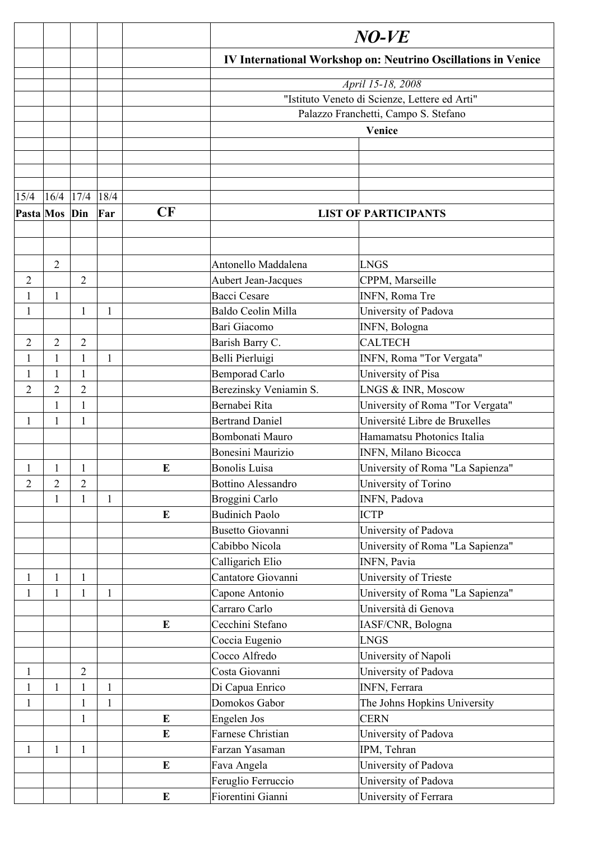|                |                |                |      |           | $NO$ - $VE$<br><b>IV International Workshop on: Neutrino Oscillations in Venice</b> |                                  |  |  |
|----------------|----------------|----------------|------|-----------|-------------------------------------------------------------------------------------|----------------------------------|--|--|
|                |                |                |      |           |                                                                                     |                                  |  |  |
|                |                |                |      |           |                                                                                     | April 15-18, 2008                |  |  |
|                |                |                |      |           | "Istituto Veneto di Scienze, Lettere ed Arti"                                       |                                  |  |  |
|                |                |                |      |           | Palazzo Franchetti, Campo S. Stefano<br>Venice                                      |                                  |  |  |
|                |                |                |      |           |                                                                                     |                                  |  |  |
|                |                |                |      |           |                                                                                     |                                  |  |  |
|                |                |                |      |           |                                                                                     |                                  |  |  |
|                |                |                |      |           |                                                                                     |                                  |  |  |
| 15/4           | 16/4           | 17/4           | 18/4 |           |                                                                                     |                                  |  |  |
| Pasta Mos      |                | Din            | Far  | CF        |                                                                                     | <b>LIST OF PARTICIPANTS</b>      |  |  |
|                |                |                |      |           |                                                                                     |                                  |  |  |
|                |                |                |      |           |                                                                                     |                                  |  |  |
|                |                |                |      |           |                                                                                     |                                  |  |  |
|                | $\overline{2}$ |                |      |           | Antonello Maddalena                                                                 | LNGS                             |  |  |
| $\overline{2}$ |                | $\overline{2}$ |      |           | Aubert Jean-Jacques                                                                 | CPPM, Marseille                  |  |  |
| $\mathbf{1}$   | $\mathbf{1}$   |                |      |           | <b>Bacci Cesare</b>                                                                 | INFN, Roma Tre                   |  |  |
| $\mathbf{1}$   |                | 1              | 1    |           | Baldo Ceolin Milla                                                                  | University of Padova             |  |  |
|                |                |                |      |           | Bari Giacomo                                                                        | INFN, Bologna                    |  |  |
| 2              | $\overline{2}$ | $\overline{2}$ |      |           | Barish Barry C.                                                                     | <b>CALTECH</b>                   |  |  |
| 1              | 1              |                | 1    |           | Belli Pierluigi                                                                     | INFN, Roma "Tor Vergata"         |  |  |
| 1              | 1              |                |      |           | <b>Bemporad Carlo</b>                                                               | University of Pisa               |  |  |
| $\overline{2}$ | 2              | $\overline{2}$ |      |           | Berezinsky Veniamin S.                                                              | LNGS & INR, Moscow               |  |  |
|                | 1              | 1              |      |           | Bernabei Rita                                                                       | University of Roma "Tor Vergata" |  |  |
| 1              | 1              | 1              |      |           | <b>Bertrand Daniel</b>                                                              | Université Libre de Bruxelles    |  |  |
|                |                |                |      |           | Bombonati Mauro                                                                     | Hamamatsu Photonics Italia       |  |  |
|                |                |                |      |           | Bonesini Maurizio                                                                   | INFN, Milano Bicocca             |  |  |
| $\mathbf{1}$   | $\mathbf{1}$   | $\mathbf{1}$   |      | E         | <b>Bonolis Luisa</b>                                                                | University of Roma "La Sapienza" |  |  |
| $\overline{2}$ | $\overline{2}$ | $\overline{2}$ |      |           | <b>Bottino Alessandro</b>                                                           | University of Torino             |  |  |
|                | $\mathbf{1}$   | 1              | 1    |           | Broggini Carlo                                                                      | INFN, Padova                     |  |  |
|                |                |                |      | E         | <b>Budinich Paolo</b>                                                               | <b>ICTP</b>                      |  |  |
|                |                |                |      |           | <b>Busetto Giovanni</b>                                                             | University of Padova             |  |  |
|                |                |                |      |           | Cabibbo Nicola                                                                      | University of Roma "La Sapienza" |  |  |
|                |                |                |      |           | Calligarich Elio                                                                    | INFN, Pavia                      |  |  |
| 1              | 1              | 1              |      |           | Cantatore Giovanni                                                                  | University of Trieste            |  |  |
| $\mathbf{1}$   | $\mathbf{1}$   | $\mathbf{1}$   | 1    |           | Capone Antonio                                                                      | University of Roma "La Sapienza" |  |  |
|                |                |                |      |           | Carraro Carlo                                                                       | Università di Genova             |  |  |
|                |                |                |      | ${\bf E}$ | Cecchini Stefano                                                                    | IASF/CNR, Bologna                |  |  |
|                |                |                |      |           | Coccia Eugenio                                                                      | <b>LNGS</b>                      |  |  |
|                |                |                |      |           | Cocco Alfredo                                                                       | University of Napoli             |  |  |
| $\mathbf{1}$   |                | $\overline{2}$ |      |           | Costa Giovanni                                                                      | University of Padova             |  |  |
| $\mathbf{1}$   | 1              |                | 1    |           | Di Capua Enrico                                                                     | INFN, Ferrara                    |  |  |
| $\mathbf{1}$   |                |                | 1    |           | Domokos Gabor                                                                       | The Johns Hopkins University     |  |  |
|                |                | 1              |      | E         | Engelen Jos                                                                         | <b>CERN</b>                      |  |  |
|                |                |                |      | ${\bf E}$ | Farnese Christian                                                                   | University of Padova             |  |  |
| 1              | 1              | 1              |      |           | Farzan Yasaman                                                                      | IPM, Tehran                      |  |  |
|                |                |                |      | ${\bf E}$ | Fava Angela                                                                         | University of Padova             |  |  |
|                |                |                |      |           | Feruglio Ferruccio                                                                  | University of Padova             |  |  |
|                |                |                |      | ${\bf E}$ | Fiorentini Gianni                                                                   | University of Ferrara            |  |  |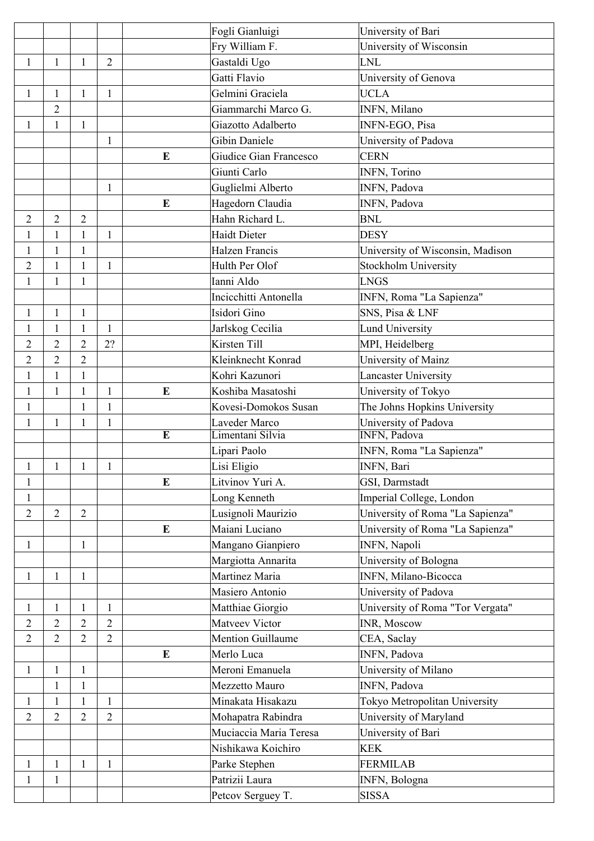|                |                |                |                |                | Fogli Gianluigi          | University of Bari               |
|----------------|----------------|----------------|----------------|----------------|--------------------------|----------------------------------|
|                |                |                |                |                | Fry William F.           | University of Wisconsin          |
| $\mathbf{1}$   | $\mathbf{1}$   | 1              | $\overline{2}$ |                | Gastaldi Ugo             | <b>LNL</b>                       |
|                |                |                |                |                | Gatti Flavio             | University of Genova             |
| $\mathbf{1}$   | $\mathbf{1}$   | 1              | $\mathbf{1}$   |                | Gelmini Graciela         | <b>UCLA</b>                      |
|                | $\overline{2}$ |                |                |                | Giammarchi Marco G.      | <b>INFN, Milano</b>              |
| $\mathbf{1}$   | $\mathbf{1}$   | $\mathbf{1}$   |                |                | Giazotto Adalberto       | INFN-EGO, Pisa                   |
|                |                |                | 1              |                | <b>Gibin Daniele</b>     | University of Padova             |
|                |                |                |                | E              | Giudice Gian Francesco   | <b>CERN</b>                      |
|                |                |                |                |                | Giunti Carlo             | INFN, Torino                     |
|                |                |                | $\mathbf{1}$   |                | Guglielmi Alberto        | <b>INFN, Padova</b>              |
|                |                |                |                | E              | Hagedorn Claudia         | INFN, Padova                     |
| $\overline{2}$ | $\overline{2}$ | $\overline{2}$ |                |                | Hahn Richard L.          | <b>BNL</b>                       |
| $\mathbf{1}$   | $\mathbf{1}$   | 1              | $\mathbf{1}$   |                | <b>Haidt Dieter</b>      | <b>DESY</b>                      |
| 1              | $\mathbf{1}$   | $\mathbf{1}$   |                |                | <b>Halzen Francis</b>    | University of Wisconsin, Madison |
| $\overline{2}$ | $\mathbf{1}$   | 1              | $\mathbf{1}$   |                | Hulth Per Olof           | Stockholm University             |
| $\mathbf{1}$   | $\mathbf{1}$   | $\mathbf{1}$   |                |                | Ianni Aldo               | <b>LNGS</b>                      |
|                |                |                |                |                | Incicchitti Antonella    | INFN, Roma "La Sapienza"         |
| $\mathbf{1}$   | $\mathbf{1}$   | $\mathbf{1}$   |                |                | Isidori Gino             | SNS, Pisa & LNF                  |
| $\mathbf{1}$   | $\mathbf{1}$   | $\mathbf{1}$   | $\mathbf{1}$   |                | Jarlskog Cecilia         | <b>Lund University</b>           |
| $\overline{2}$ | $\overline{2}$ | $\overline{2}$ | 2?             |                | Kirsten Till             | MPI, Heidelberg                  |
| $\overline{2}$ | $\overline{2}$ | $\overline{2}$ |                |                | Kleinknecht Konrad       | University of Mainz              |
| $\mathbf{1}$   | $\mathbf{1}$   | $\mathbf{1}$   |                |                | Kohri Kazunori           | Lancaster University             |
| $\mathbf{1}$   | $\mathbf{1}$   | 1              | 1              | ${\bf E}$      | Koshiba Masatoshi        | University of Tokyo              |
| $\mathbf{1}$   |                |                |                |                | Kovesi-Domokos Susan     | The Johns Hopkins University     |
| $\mathbf{1}$   | $\mathbf{1}$   | $\mathbf{1}$   | $\mathbf{1}$   |                | Laveder Marco            | University of Padova             |
|                |                |                |                | $\overline{E}$ | Limentani Silvia         | INFN, Padova                     |
|                |                |                |                |                | Lipari Paolo             | INFN, Roma "La Sapienza"         |
| 1              | $\mathbf{1}$   |                | 1              |                | Lisi Eligio              | INFN, Bari                       |
| $\mathbf{1}$   |                |                |                | E              | Litvinov Yuri A.         | GSI, Darmstadt                   |
| $\mathbf{1}$   |                |                |                |                | Long Kenneth             | Imperial College, London         |
| $\overline{2}$ | $\overline{2}$ | $\overline{2}$ |                |                | Lusignoli Maurizio       | University of Roma "La Sapienza" |
|                |                |                |                | ${\bf E}$      | Maiani Luciano           | University of Roma "La Sapienza" |
| $\mathbf{1}$   |                | $\mathbf{1}$   |                |                | Mangano Gianpiero        | INFN, Napoli                     |
|                |                |                |                |                | Margiotta Annarita       | University of Bologna            |
| $\mathbf{1}$   | $\mathbf{1}$   | 1              |                |                | Martinez Maria           | INFN, Milano-Bicocca             |
|                |                |                |                |                | Masiero Antonio          | University of Padova             |
| $\mathbf{1}$   | $\mathbf{1}$   | 1              | 1              |                | Matthiae Giorgio         | University of Roma "Tor Vergata" |
| $\overline{2}$ | $\overline{2}$ | $\overline{2}$ | $\overline{2}$ |                | Matveev Victor           | <b>INR, Moscow</b>               |
| $\overline{2}$ | $\overline{2}$ | $\overline{2}$ | $\overline{2}$ |                | <b>Mention Guillaume</b> | CEA, Saclay                      |
|                |                |                |                | $\bf{E}$       | Merlo Luca               | INFN, Padova                     |
| $\mathbf{1}$   | $\mathbf{1}$   | 1              |                |                | Meroni Emanuela          | University of Milano             |
|                | $\mathbf{1}$   | $\mathbf{1}$   |                |                | Mezzetto Mauro           | INFN, Padova                     |
| $\mathbf{1}$   | $\mathbf{1}$   | 1              | $\mathbf{1}$   |                | Minakata Hisakazu        | Tokyo Metropolitan University    |
| $\overline{2}$ | $\overline{2}$ | $\overline{2}$ | $\overline{2}$ |                | Mohapatra Rabindra       | University of Maryland           |
|                |                |                |                |                | Muciaccia Maria Teresa   | University of Bari               |
|                |                |                |                |                | Nishikawa Koichiro       | <b>KEK</b>                       |
| $\mathbf{1}$   | $\mathbf{1}$   | $\mathbf{1}$   | $\mathbf{1}$   |                | Parke Stephen            | <b>FERMILAB</b>                  |
| 1              | $\mathbf{1}$   |                |                |                | Patrizii Laura           | <b>INFN, Bologna</b>             |
|                |                |                |                |                | Petcov Serguey T.        | <b>SISSA</b>                     |
|                |                |                |                |                |                          |                                  |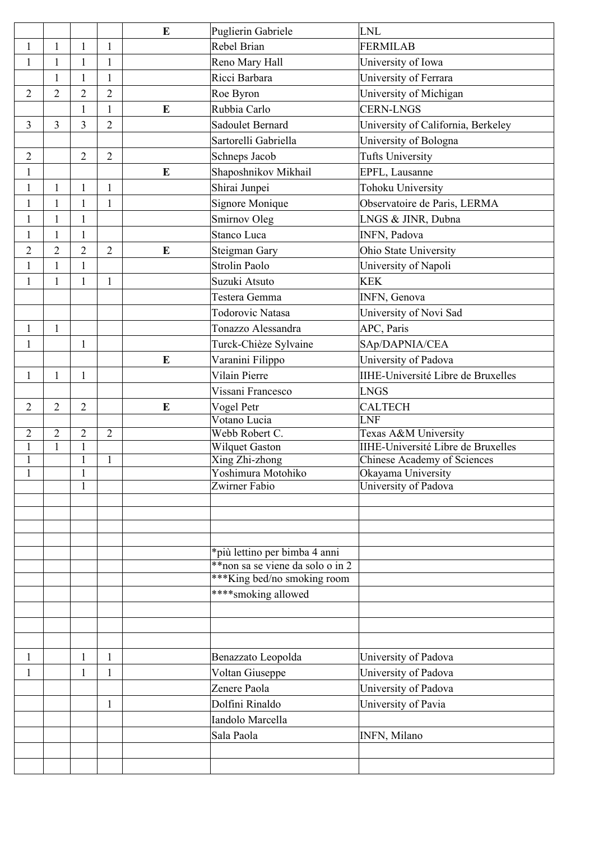|                |                |                |                | E         | Puglierin Gabriele               | LNL                                       |
|----------------|----------------|----------------|----------------|-----------|----------------------------------|-------------------------------------------|
| $\mathbf{1}$   | $\mathbf{1}$   | 1              | $\mathbf{1}$   |           | Rebel Brian                      | FERMILAB                                  |
| $\mathbf{1}$   | $\mathbf{1}$   | 1              | 1              |           | Reno Mary Hall                   | University of Iowa                        |
|                | $\mathbf{1}$   | 1              | $\mathbf{1}$   |           | Ricci Barbara                    | University of Ferrara                     |
| $\overline{2}$ | $\overline{2}$ | $\overline{2}$ | $\overline{2}$ |           | Roe Byron                        | University of Michigan                    |
|                |                | 1              | 1              | E         | Rubbia Carlo                     | <b>CERN-LNGS</b>                          |
| $\overline{3}$ | 3              | 3              | $\overline{2}$ |           | Sadoulet Bernard                 | University of California, Berkeley        |
|                |                |                |                |           | Sartorelli Gabriella             | University of Bologna                     |
| $\sqrt{2}$     |                | $\overline{2}$ | $\overline{2}$ |           | Schneps Jacob                    | <b>Tufts University</b>                   |
| $\mathbf{1}$   |                |                |                | E         | Shaposhnikov Mikhail             | EPFL, Lausanne                            |
| $\mathbf{1}$   | $\mathbf{1}$   | 1              | 1              |           | Shirai Junpei                    | <b>Tohoku University</b>                  |
| $\mathbf{1}$   | $\mathbf{1}$   |                | $\mathbf{1}$   |           | Signore Monique                  | Observatoire de Paris, LERMA              |
| $\mathbf{1}$   | $\mathbf{1}$   | $\mathbf{1}$   |                |           | Smirnov Oleg                     | LNGS & JINR, Dubna                        |
| $\mathbf{1}$   | $\mathbf{1}$   | 1              |                |           | Stanco Luca                      | INFN, Padova                              |
| $\overline{2}$ | $\overline{2}$ | $\overline{2}$ | $\overline{2}$ | $\bf{E}$  | Steigman Gary                    | Ohio State University                     |
| $\mathbf{1}$   | $\mathbf{1}$   | $\mathbf{1}$   |                |           | Strolin Paolo                    | University of Napoli                      |
| $\mathbf{1}$   | $\mathbf{1}$   | 1              | $\mathbf{1}$   |           | Suzuki Atsuto                    | <b>KEK</b>                                |
|                |                |                |                |           | Testera Gemma                    | <b>INFN, Genova</b>                       |
|                |                |                |                |           | <b>Todorovic Natasa</b>          |                                           |
|                | $\mathbf{1}$   |                |                |           | Tonazzo Alessandra               | University of Novi Sad                    |
| $\mathbf{1}$   |                |                |                |           |                                  | APC, Paris                                |
| $\mathbf{1}$   |                | 1              |                |           | Turck-Chièze Sylvaine            | SAp/DAPNIA/CEA                            |
|                |                |                |                | E         | Varanini Filippo                 | University of Padova                      |
| $\mathbf{1}$   | $\mathbf{1}$   | $\mathbf{1}$   |                |           | Vilain Pierre                    | IIHE-Université Libre de Bruxelles        |
|                |                |                |                |           | Vissani Francesco                | LNGS                                      |
| $\sqrt{2}$     | $\overline{2}$ | $\overline{2}$ |                | ${\bf E}$ | Vogel Petr                       | <b>CALTECH</b>                            |
| $\overline{2}$ | $\overline{2}$ | $\overline{2}$ | $\overline{2}$ |           | Votano Lucia<br>Webb Robert C.   | LNF<br>Texas A&M University               |
| $\mathbf{1}$   | $\mathbf{1}$   | $\mathbf{1}$   |                |           | <b>Wilquet Gaston</b>            | <b>IIHE-Université Libre de Bruxelles</b> |
| $\mathbf{1}$   |                | $\mathbf{1}$   | $\mathbf{1}$   |           | Xing Zhi-zhong                   | Chinese Academy of Sciences               |
| $\mathbf{1}$   |                | $\mathbf{1}$   |                |           | Yoshimura Motohiko               | Okayama University                        |
|                |                |                |                |           | Zwirner Fabio                    | University of Padova                      |
|                |                | $\mathbf{1}$   |                |           |                                  |                                           |
|                |                |                |                |           |                                  |                                           |
|                |                |                |                |           |                                  |                                           |
|                |                |                |                |           |                                  |                                           |
|                |                |                |                |           | *più lettino per bimba 4 anni    |                                           |
|                |                |                |                |           | **non sa se viene da solo o in 2 |                                           |
|                |                |                |                |           | *** King bed/no smoking room     |                                           |
|                |                |                |                |           | **** smoking allowed             |                                           |
|                |                |                |                |           |                                  |                                           |
|                |                |                |                |           |                                  |                                           |
|                |                |                |                |           |                                  |                                           |
| 1              |                | 1              | 1              |           | Benazzato Leopolda               | University of Padova                      |
| 1              |                | 1              | 1              |           | Voltan Giuseppe                  | University of Padova                      |
|                |                |                |                |           | Zenere Paola                     | University of Padova                      |
|                |                |                | 1              |           | Dolfini Rinaldo                  | University of Pavia                       |
|                |                |                |                |           | Iandolo Marcella                 |                                           |
|                |                |                |                |           | Sala Paola                       | INFN, Milano                              |
|                |                |                |                |           |                                  |                                           |
|                |                |                |                |           |                                  |                                           |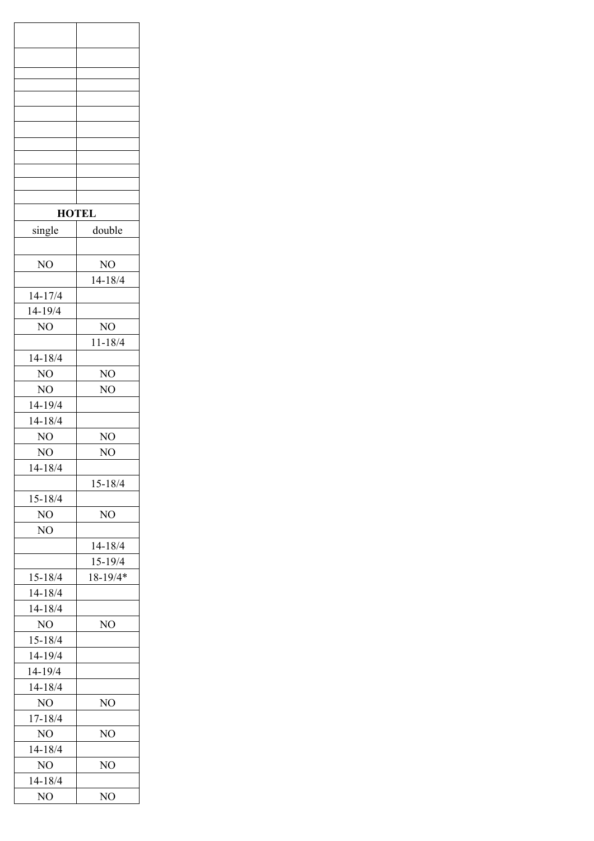| <b>HOTEL</b>   |                |
|----------------|----------------|
| single         | double         |
|                |                |
| NO             | NO             |
|                | 14-18/4        |
| $14 - 17/4$    |                |
| 14-19/4        |                |
| NO             | NO             |
|                | $11 - 18/4$    |
| 14-18/4        |                |
| NO             | N <sub>O</sub> |
| NO             | NO             |
| 14-19/4        |                |
| $14 - 18/4$    |                |
| N <sub>O</sub> | NO             |
| NO             | NO             |
| $14 - 18/4$    |                |
|                | 15-18/4        |
| 15-18/4        |                |
| NO             | NO             |
| NO             |                |
|                | 14-18/4        |
|                | 15-19/4        |
| 15-18/4        | 18-19/4*       |
| $14 - 18/4$    |                |
| 14-18/4        |                |
| N <sub>O</sub> | NO             |
| 15-18/4        |                |
| 14-19/4        |                |
| 14-19/4        |                |
| $14 - 18/4$    |                |
| NO             | NO             |
| 17-18/4        |                |
| NO             | NO             |
| 14-18/4        |                |
| NO             | NO             |
| 14-18/4        |                |
| NO             | NO             |
|                |                |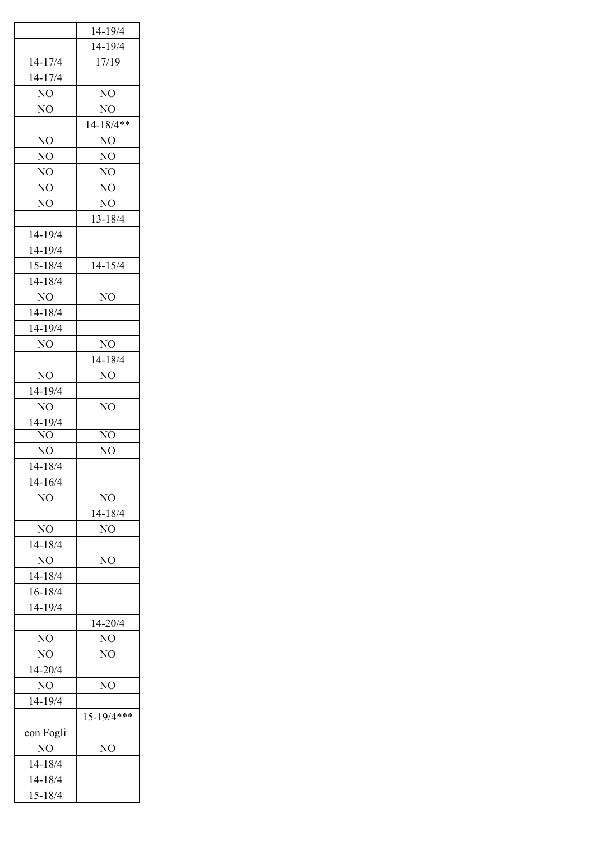|                | 14-19/4         |
|----------------|-----------------|
|                | 14-19/4         |
| 14-17/4        | 17/19           |
| 14-17/4        |                 |
| NO             | NO              |
| NO             | NO              |
|                | $14 - 18/4$ **  |
| NO             | NO              |
| NO             | NO              |
| NO             | NO              |
| NO             | NO              |
| NO             | NO              |
|                | 13-18/4         |
| 14-19/4        |                 |
| 14-19/4        |                 |
| 15-18/4        | 14-15/4         |
| 14-18/4        |                 |
| NO             | NO              |
| 14-18/4        |                 |
| 14-19/4        |                 |
| NO             | NO              |
|                | $14 - 18/4$     |
| NO             | NO              |
| 14-19/4        |                 |
| N <sub>O</sub> | N <sub>O</sub>  |
| 14-19/4        |                 |
| NO             | NO              |
| NO             | NO              |
| 14-18/4        |                 |
| 14-16/4        |                 |
| NO             | NO              |
|                | 14-18/4         |
| NO             | NO              |
| 14-18/4        |                 |
| N <sub>O</sub> | NO              |
| 14-18/4        |                 |
| 16-18/4        |                 |
| 14-19/4        |                 |
|                | 14-20/4         |
| NO             | NO              |
| NO             | NO              |
| 14-20/4        |                 |
| NO             | NO              |
| 14-19/4        |                 |
|                | $15 - 19/4$ *** |
| con Fogli      |                 |
| NO             | N <sub>O</sub>  |
| 14-18/4        |                 |
| 14-18/4        |                 |
| 15-18/4        |                 |
|                |                 |